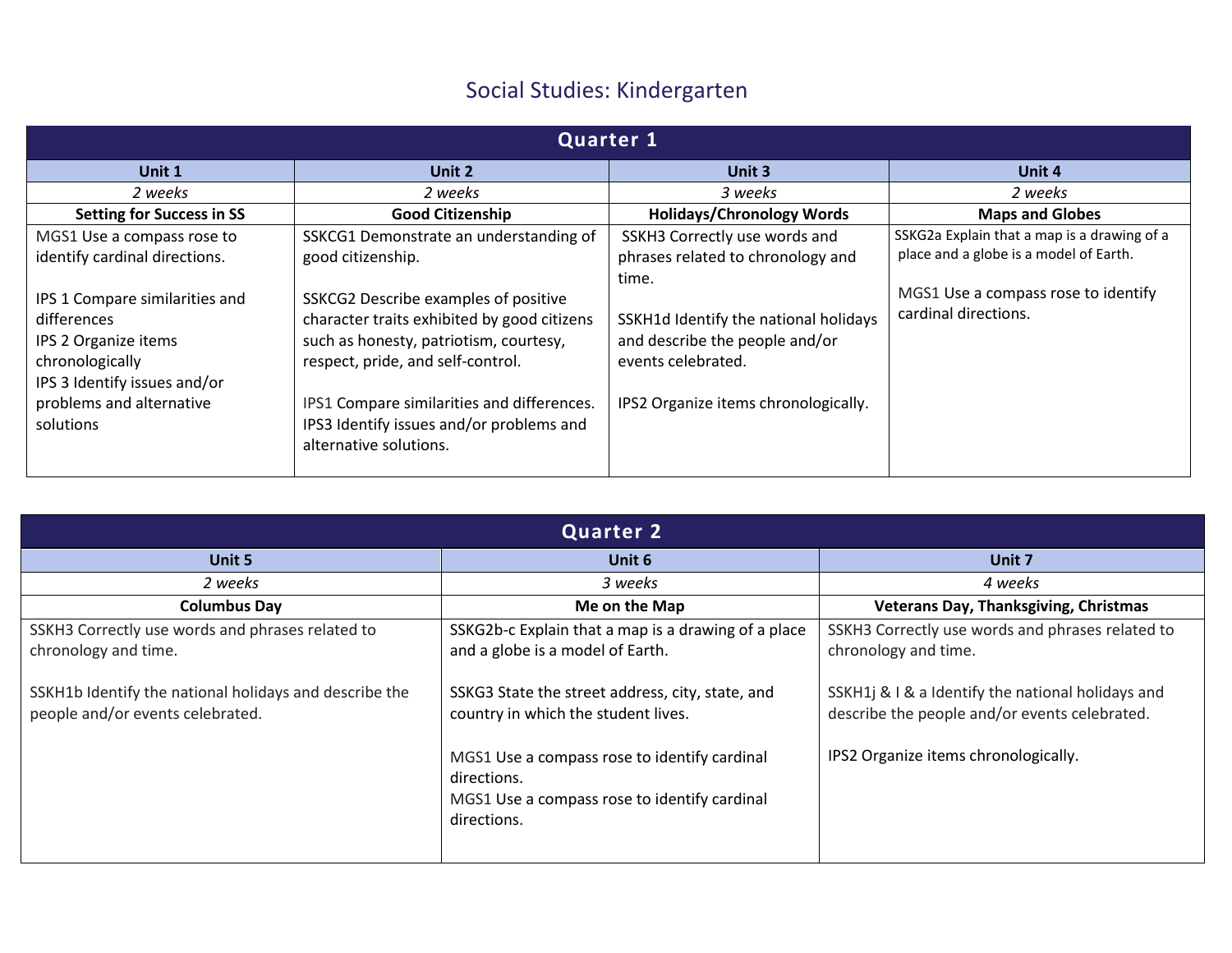## Social Studies: Kindergarten

| <b>Quarter 1</b>                                                                                                                                                                                                                 |                                                                                                                                                                                                                                                                                                                                                       |                                                                                                                                                                                                                      |                                                                                                                                                      |  |  |
|----------------------------------------------------------------------------------------------------------------------------------------------------------------------------------------------------------------------------------|-------------------------------------------------------------------------------------------------------------------------------------------------------------------------------------------------------------------------------------------------------------------------------------------------------------------------------------------------------|----------------------------------------------------------------------------------------------------------------------------------------------------------------------------------------------------------------------|------------------------------------------------------------------------------------------------------------------------------------------------------|--|--|
| Unit 1                                                                                                                                                                                                                           | Unit 2                                                                                                                                                                                                                                                                                                                                                | Unit 3                                                                                                                                                                                                               | Unit 4                                                                                                                                               |  |  |
| 2 weeks                                                                                                                                                                                                                          | 2 weeks                                                                                                                                                                                                                                                                                                                                               | 3 weeks                                                                                                                                                                                                              | 2 weeks                                                                                                                                              |  |  |
| <b>Setting for Success in SS</b>                                                                                                                                                                                                 | <b>Good Citizenship</b>                                                                                                                                                                                                                                                                                                                               | <b>Holidays/Chronology Words</b>                                                                                                                                                                                     | <b>Maps and Globes</b>                                                                                                                               |  |  |
| MGS1 Use a compass rose to<br>identify cardinal directions.<br>IPS 1 Compare similarities and<br>differences<br>IPS 2 Organize items<br>chronologically<br>IPS 3 Identify issues and/or<br>problems and alternative<br>solutions | SSKCG1 Demonstrate an understanding of<br>good citizenship.<br>SSKCG2 Describe examples of positive<br>character traits exhibited by good citizens<br>such as honesty, patriotism, courtesy,<br>respect, pride, and self-control.<br>IPS1 Compare similarities and differences.<br>IPS3 Identify issues and/or problems and<br>alternative solutions. | SSKH3 Correctly use words and<br>phrases related to chronology and<br>time.<br>SSKH1d Identify the national holidays<br>and describe the people and/or<br>events celebrated.<br>IPS2 Organize items chronologically. | SSKG2a Explain that a map is a drawing of a<br>place and a globe is a model of Earth.<br>MGS1 Use a compass rose to identify<br>cardinal directions. |  |  |

| <b>Quarter 2</b>                                                                                                                                                       |                                                                                                                                                                                                                                                                                                                  |                                                                                                                                                                                                                        |  |  |  |
|------------------------------------------------------------------------------------------------------------------------------------------------------------------------|------------------------------------------------------------------------------------------------------------------------------------------------------------------------------------------------------------------------------------------------------------------------------------------------------------------|------------------------------------------------------------------------------------------------------------------------------------------------------------------------------------------------------------------------|--|--|--|
| Unit 5                                                                                                                                                                 | Unit 6                                                                                                                                                                                                                                                                                                           | Unit 7                                                                                                                                                                                                                 |  |  |  |
| 2 weeks                                                                                                                                                                | 3 weeks                                                                                                                                                                                                                                                                                                          | 4 weeks                                                                                                                                                                                                                |  |  |  |
| <b>Columbus Day</b>                                                                                                                                                    | Me on the Map                                                                                                                                                                                                                                                                                                    | <b>Veterans Day, Thanksgiving, Christmas</b>                                                                                                                                                                           |  |  |  |
| SSKH3 Correctly use words and phrases related to<br>chronology and time.<br>SSKH1b Identify the national holidays and describe the<br>people and/or events celebrated. | SSKG2b-c Explain that a map is a drawing of a place<br>and a globe is a model of Earth.<br>SSKG3 State the street address, city, state, and<br>country in which the student lives.<br>MGS1 Use a compass rose to identify cardinal<br>directions.<br>MGS1 Use a compass rose to identify cardinal<br>directions. | SSKH3 Correctly use words and phrases related to<br>chronology and time.<br>SSKH1j & I & a Identify the national holidays and<br>describe the people and/or events celebrated.<br>IPS2 Organize items chronologically. |  |  |  |